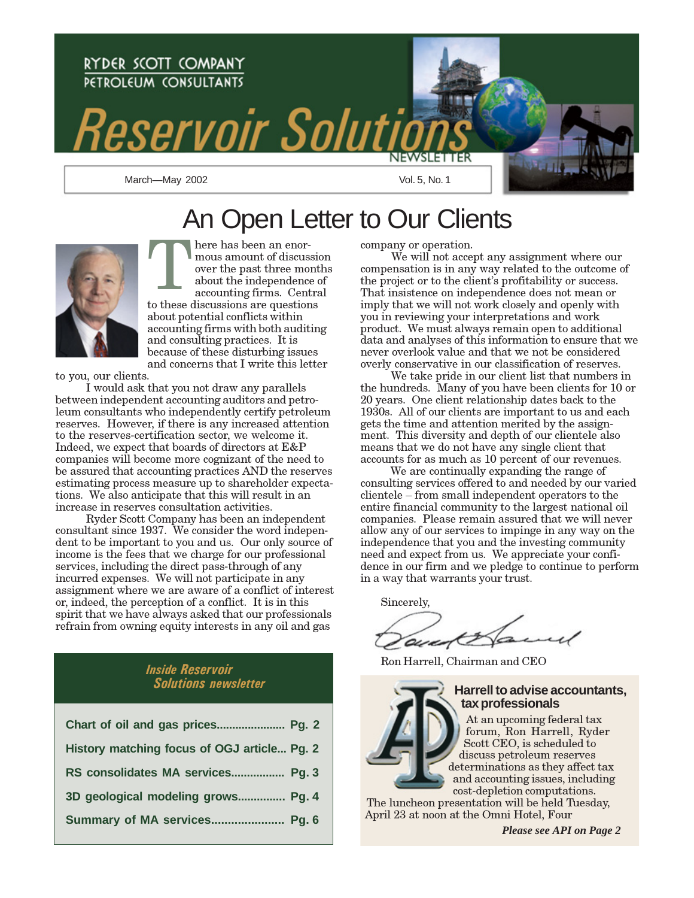

# An Open Letter to Our Clients



here has been an enormous amount of discussion over the past three months about the independence of the independence of *Taccounting firms*. Central the *Taccounting firms*. Central to these discussions are questions about potential conflicts within accounting firms with both auditing and consulting practices. It is because of these disturbing issues and concerns that I write this letter

to you, our clients.

 I would ask that you not draw any parallels between independent accounting auditors and petroleum consultants who independently certify petroleum reserves. However, if there is any increased attention to the reserves-certification sector, we welcome it. Indeed, we expect that boards of directors at E&P companies will become more cognizant of the need to be assured that accounting practices AND the reserves estimating process measure up to shareholder expectations. We also anticipate that this will result in an increase in reserves consultation activities.

 Ryder Scott Company has been an independent consultant since 1937. We consider the word independent to be important to you and us. Our only source of income is the fees that we charge for our professional services, including the direct pass-through of any incurred expenses. We will not participate in any assignment where we are aware of a conflict of interest or, indeed, the perception of a conflict. It is in this spirit that we have always asked that our professionals refrain from owning equity interests in any oil and gas

### Inside Reservoir Solutions newsletter

| Chart of oil and gas prices Pg. 2           |
|---------------------------------------------|
| History matching focus of OGJ article Pg. 2 |
| RS consolidates MA services Pg. 3           |
| 3D geological modeling grows Pg. 4          |
| Summary of MA services Pg. 6                |

company or operation.

We will not accept any assignment where our compensation is in any way related to the outcome of the project or to the client's profitability or success. That insistence on independence does not mean or imply that we will not work closely and openly with you in reviewing your interpretations and work product. We must always remain open to additional data and analyses of this information to ensure that we never overlook value and that we not be considered overly conservative in our classification of reserves.

 We take pride in our client list that numbers in the hundreds. Many of you have been clients for 10 or 20 years. One client relationship dates back to the 1930s. All of our clients are important to us and each gets the time and attention merited by the assignment. This diversity and depth of our clientele also means that we do not have any single client that accounts for as much as 10 percent of our revenues.

 We are continually expanding the range of consulting services offered to and needed by our varied clientele – from small independent operators to the entire financial community to the largest national oil companies. Please remain assured that we will never allow any of our services to impinge in any way on the independence that you and the investing community need and expect from us. We appreciate your confidence in our firm and we pledge to continue to perform in a way that warrants your trust.

Sincerely,

auct

Ron Harrell, Chairman and CEO

### **Harrell to advise accountants, tax professionals**

At an upcoming federal tax forum, Ron Harrell, Ryder Scott CEO, is scheduled to discuss petroleum reserves determinations as they affect tax and accounting issues, including cost-depletion computations.

The luncheon presentation will be held Tuesday, April 23 at noon at the Omni Hotel, Four

*Please see API on Page 2*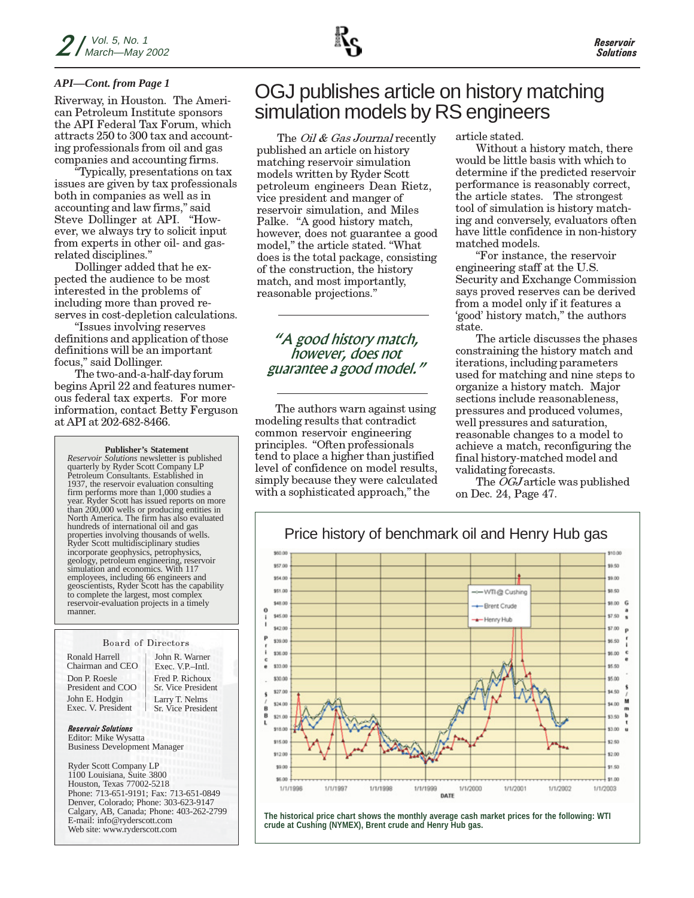### *API—Cont. from Page 1*

Riverway, in Houston. The American Petroleum Institute sponsors the API Federal Tax Forum, which attracts 250 to 300 tax and accounting professionals from oil and gas companies and accounting firms.

"Typically, presentations on tax issues are given by tax professionals both in companies as well as in accounting and law firms," said Steve Dollinger at API. "However, we always try to solicit input from experts in other oil- and gasrelated disciplines."

Dollinger added that he expected the audience to be most interested in the problems of including more than proved reserves in cost-depletion calculations.

"Issues involving reserves definitions and application of those definitions will be an important focus," said Dollinger.

The two-and-a-half-day forum begins April 22 and features numerous federal tax experts. For more information, contact Betty Ferguson at API at 202-682-8466.

### **Publisher's Statement**

*Reservoir Solutions* newsletter is published quarterly by Ryder Scott Company LP Petroleum Consultants. Established in 1937, the reservoir evaluation consulting firm performs more than 1,000 studies a year. Ryder Scott has issued reports on more than 200,000 wells or producing entities in North America. The firm has also evaluated hundreds of international oil and gas properties involving thousands of wells. Ryder Scott multidisciplinary studies incorporate geophysics, petrophysics, geology, petroleum engineering, reservoir simulation and economics. With 117 employees, including 66 engineers and geoscientists, Ryder Scott has the capability to complete the largest, most complex reservoir-evaluation projects in a timely manner.

### Board of Directors

Ronald Harrell Chairman and CEO Don P. Roesle President and COO John E. Hodgin Exec. V. President

Fred P. Richoux Sr. Vice President John R. Warner Exec. V.P.–Intl. Larry T. Nelms Sr. Vice President

Reservoir Solutions Editor: Mike Wysatta Business Development Manager

Ryder Scott Company LP 1100 Louisiana, Suite 3800 Houston, Texas 77002-5218 Phone: 713-651-9191; Fax: 713-651-0849 Denver, Colorado; Phone: 303-623-9147 Calgary, AB, Canada; Phone: 403-262-2799 E-mail: info@ryderscott.com Web site: www.ryderscott.com

## OGJ publishes article on history matching simulation models by RS engineers

The *Oil & Gas Journal* recently published an article on history matching reservoir simulation models written by Ryder Scott petroleum engineers Dean Rietz, vice president and manger of reservoir simulation, and Miles Palke. "A good history match, however, does not guarantee a good model," the article stated. "What does is the total package, consisting of the construction, the history match, and most importantly, reasonable projections."

### "A good history match, however, does not guarantee a good model."

The authors warn against using modeling results that contradict common reservoir engineering principles. "Often professionals tend to place a higher than justified level of confidence on model results, simply because they were calculated with a sophisticated approach," the

article stated.

Without a history match, there would be little basis with which to determine if the predicted reservoir performance is reasonably correct, the article states. The strongest tool of simulation is history matching and conversely, evaluators often have little confidence in non-history matched models.

"For instance, the reservoir engineering staff at the U.S. Security and Exchange Commission says proved reserves can be derived from a model only if it features a 'good' history match," the authors state.

The article discusses the phases constraining the history match and iterations, including parameters used for matching and nine steps to organize a history match. Major sections include reasonableness, pressures and produced volumes, well pressures and saturation, reasonable changes to a model to achieve a match, reconfiguring the final history-matched model and validating forecasts.

The *OGJ* article was published on Dec. 24, Page 47.



**The historical price chart shows the monthly average cash market prices for the following: WTI crude at Cushing (NYMEX), Brent crude and Henry Hub gas.**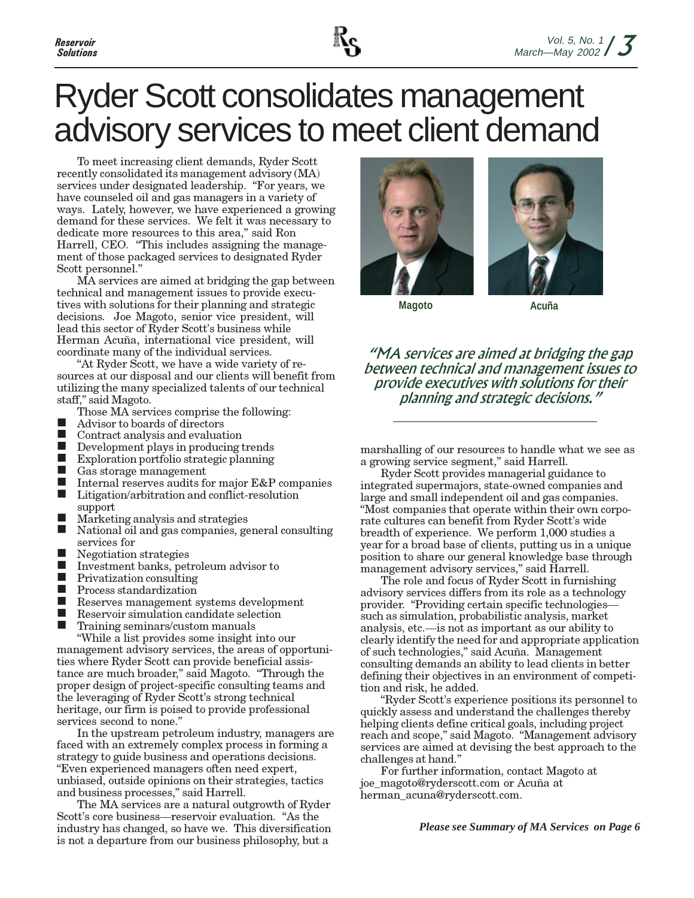# Ryder Scott consolidates management advisory services to meet client demand

To meet increasing client demands, Ryder Scott recently consolidated its management advisory (MA) services under designated leadership. "For years, we have counseled oil and gas managers in a variety of ways. Lately, however, we have experienced a growing demand for these services. We felt it was necessary to dedicate more resources to this area," said Ron Harrell, CEO. "This includes assigning the management of those packaged services to designated Ryder Scott personnel."

MA services are aimed at bridging the gap between technical and management issues to provide executives with solutions for their planning and strategic decisions. Joe Magoto, senior vice president, will lead this sector of Ryder Scott's business while Herman Acuña, international vice president, will coordinate many of the individual services.

"At Ryder Scott, we have a wide variety of resources at our disposal and our clients will benefit from utilizing the many specialized talents of our technical staff," said Magoto.

- Those MA services comprise the following:
- $\blacksquare$  Advisor to boards of directors
- Contract analysis and evaluation
- Development plays in producing trends
- Exploration portfolio strategic planning
- Gas storage management
- Internal reserves audits for major  $E&P$  companies<br>■ Litigation/arbitration and conflict-resolution
- Litigation/arbitration and conflict-resolution support
- Marketing analysis and strategies
- National oil and gas companies, general consulting services for
- Negotiation strategies
- Investment banks, petroleum advisor to<br>Privatization consulting
- Privatization consulting
- **Process standardization**
- **Reserves management systems development**
- Reservoir simulation candidate selection
- Training seminars/custom manuals

"While a list provides some insight into our management advisory services, the areas of opportunities where Ryder Scott can provide beneficial assistance are much broader," said Magoto. "Through the proper design of project-specific consulting teams and the leveraging of Ryder Scott's strong technical heritage, our firm is poised to provide professional services second to none."

In the upstream petroleum industry, managers are faced with an extremely complex process in forming a strategy to guide business and operations decisions. "Even experienced managers often need expert, unbiased, outside opinions on their strategies, tactics and business processes," said Harrell.

The MA services are a natural outgrowth of Ryder Scott's core business—reservoir evaluation. "As the industry has changed, so have we. This diversification is not a departure from our business philosophy, but a





**Magoto**

**Acuña**

"MA services are aimed at bridging the gap between technical and management issues to provide executives with solutions for their planning and strategic decisions."

marshalling of our resources to handle what we see as a growing service segment," said Harrell.

Ryder Scott provides managerial guidance to integrated supermajors, state-owned companies and large and small independent oil and gas companies. "Most companies that operate within their own corporate cultures can benefit from Ryder Scott's wide breadth of experience. We perform 1,000 studies a year for a broad base of clients, putting us in a unique position to share our general knowledge base through management advisory services," said Harrell.

The role and focus of Ryder Scott in furnishing advisory services differs from its role as a technology provider. "Providing certain specific technologies such as simulation, probabilistic analysis, market analysis, etc.—is not as important as our ability to clearly identify the need for and appropriate application of such technologies," said Acuña. Management consulting demands an ability to lead clients in better defining their objectives in an environment of competition and risk, he added.

"Ryder Scott's experience positions its personnel to quickly assess and understand the challenges thereby helping clients define critical goals, including project reach and scope," said Magoto. "Management advisory services are aimed at devising the best approach to the challenges at hand."

For further information, contact Magoto at joe\_magoto@ryderscott.com or Acuña at herman\_acuna@ryderscott.com.

*Please see Summary of MA Services on Page 6*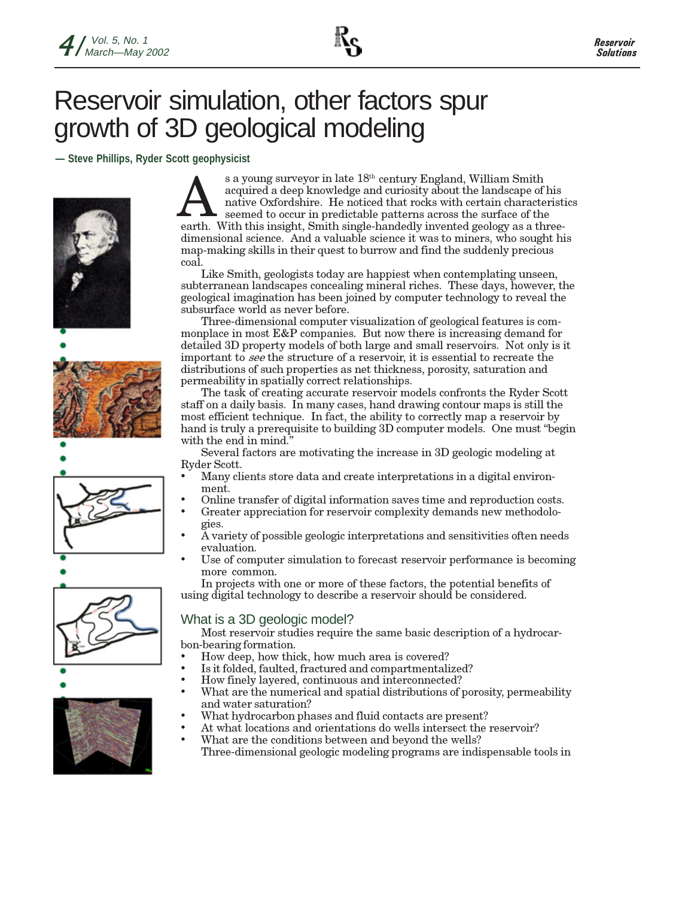# Reservoir simulation, other factors spur growth of 3D geological modeling

**— Steve Phillips, Ryder Scott geophysicist**













s a young surveyor in late 18<sup>th</sup> century England, William Smith<br>
acquired a deep knowledge and curiosity about the landscape of his<br>
native Oxfordshire. He noticed that rocks with certain characteristics<br>
seemed to occur acquired a deep knowledge and curiosity about the landscape of his earth. With this insight, Smith single-handedly invented geology as a threedimensional science. And a valuable science it was to miners, who sought his map-making skills in their quest to burrow and find the suddenly precious coal.

Like Smith, geologists today are happiest when contemplating unseen, subterranean landscapes concealing mineral riches. These days, however, the geological imagination has been joined by computer technology to reveal the subsurface world as never before.

Three-dimensional computer visualization of geological features is commonplace in most E&P companies. But now there is increasing demand for detailed 3D property models of both large and small reservoirs. Not only is it important to see the structure of a reservoir, it is essential to recreate the distributions of such properties as net thickness, porosity, saturation and permeability in spatially correct relationships.

The task of creating accurate reservoir models confronts the Ryder Scott staff on a daily basis. In many cases, hand drawing contour maps is still the most efficient technique. In fact, the ability to correctly map a reservoir by hand is truly a prerequisite to building 3D computer models. One must "begin with the end in mind."

Several factors are motivating the increase in 3D geologic modeling at Ryder Scott.

- Many clients store data and create interpretations in a digital environment.
- Online transfer of digital information saves time and reproduction costs.
- Greater appreciation for reservoir complexity demands new methodologies.
- A variety of possible geologic interpretations and sensitivities often needs evaluation.
- Use of computer simulation to forecast reservoir performance is becoming more common.

In projects with one or more of these factors, the potential benefits of using digital technology to describe a reservoir should be considered.

### What is a 3D geologic model?

Most reservoir studies require the same basic description of a hydrocarbon-bearing formation.

- How deep, how thick, how much area is covered?
- Is it folded, faulted, fractured and compartmentalized?
- How finely layered, continuous and interconnected?
- What are the numerical and spatial distributions of porosity, permeability and water saturation?
- What hydrocarbon phases and fluid contacts are present?
- At what locations and orientations do wells intersect the reservoir?
- What are the conditions between and beyond the wells?
	- Three-dimensional geologic modeling programs are indispensable tools in

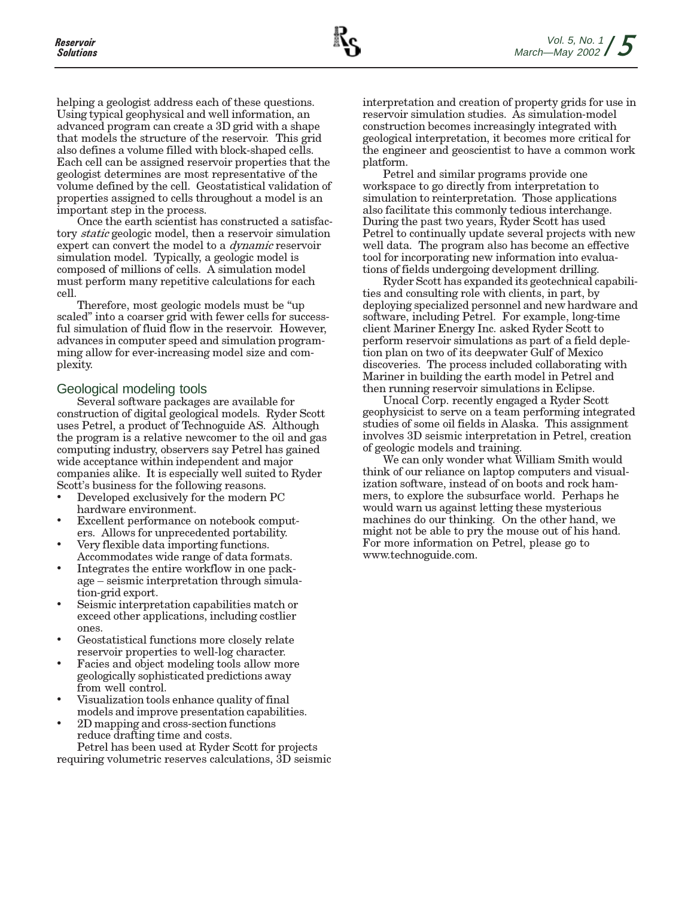helping a geologist address each of these questions. Using typical geophysical and well information, an advanced program can create a 3D grid with a shape that models the structure of the reservoir. This grid also defines a volume filled with block-shaped cells. Each cell can be assigned reservoir properties that the geologist determines are most representative of the volume defined by the cell. Geostatistical validation of properties assigned to cells throughout a model is an important step in the process.

Once the earth scientist has constructed a satisfactory static geologic model, then a reservoir simulation expert can convert the model to a dynamic reservoir simulation model. Typically, a geologic model is composed of millions of cells. A simulation model must perform many repetitive calculations for each cell.

Therefore, most geologic models must be "up scaled" into a coarser grid with fewer cells for successful simulation of fluid flow in the reservoir. However, advances in computer speed and simulation programming allow for ever-increasing model size and complexity.

### Geological modeling tools

Several software packages are available for construction of digital geological models. Ryder Scott uses Petrel, a product of Technoguide AS. Although the program is a relative newcomer to the oil and gas computing industry, observers say Petrel has gained wide acceptance within independent and major companies alike. It is especially well suited to Ryder Scott's business for the following reasons.

- Developed exclusively for the modern PC hardware environment.
- Excellent performance on notebook computers. Allows for unprecedented portability.
- Very flexible data importing functions. Accommodates wide range of data formats.
- Integrates the entire workflow in one package – seismic interpretation through simulation-grid export.
- Seismic interpretation capabilities match or exceed other applications, including costlier ones.
- Geostatistical functions more closely relate reservoir properties to well-log character.
- Facies and object modeling tools allow more geologically sophisticated predictions away from well control.
- Visualization tools enhance quality of final models and improve presentation capabilities.
- 2D mapping and cross-section functions reduce drafting time and costs.

Petrel has been used at Ryder Scott for projects requiring volumetric reserves calculations, 3D seismic interpretation and creation of property grids for use in reservoir simulation studies. As simulation-model construction becomes increasingly integrated with geological interpretation, it becomes more critical for the engineer and geoscientist to have a common work platform.

Petrel and similar programs provide one workspace to go directly from interpretation to simulation to reinterpretation. Those applications also facilitate this commonly tedious interchange. During the past two years, Ryder Scott has used Petrel to continually update several projects with new well data. The program also has become an effective tool for incorporating new information into evaluations of fields undergoing development drilling.

Ryder Scott has expanded its geotechnical capabilities and consulting role with clients, in part, by deploying specialized personnel and new hardware and software, including Petrel. For example, long-time client Mariner Energy Inc. asked Ryder Scott to perform reservoir simulations as part of a field depletion plan on two of its deepwater Gulf of Mexico discoveries. The process included collaborating with Mariner in building the earth model in Petrel and then running reservoir simulations in Eclipse.

Unocal Corp. recently engaged a Ryder Scott geophysicist to serve on a team performing integrated studies of some oil fields in Alaska. This assignment involves 3D seismic interpretation in Petrel, creation of geologic models and training.

We can only wonder what William Smith would think of our reliance on laptop computers and visualization software, instead of on boots and rock hammers, to explore the subsurface world. Perhaps he would warn us against letting these mysterious machines do our thinking. On the other hand, we might not be able to pry the mouse out of his hand. For more information on Petrel, please go to www.technoguide.com.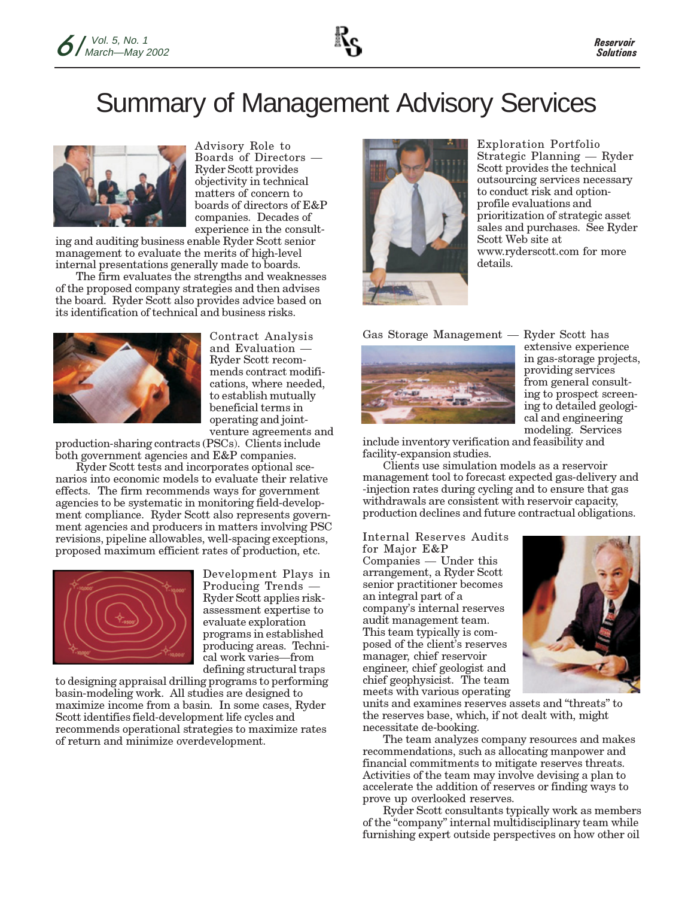# Summary of Management Advisory Services



Advisory Role to Boards of Directors — Ryder Scott provides objectivity in technical matters of concern to boards of directors of E&P companies. Decades of experience in the consult-

ing and auditing business enable Ryder Scott senior management to evaluate the merits of high-level internal presentations generally made to boards.

The firm evaluates the strengths and weaknesses of the proposed company strategies and then advises the board. Ryder Scott also provides advice based on its identification of technical and business risks.



Contract Analysis and Evaluation — Ryder Scott recommends contract modifications, where needed, to establish mutually beneficial terms in operating and jointventure agreements and

production-sharing contracts (PSCs). Clients include both government agencies and E&P companies.

Ryder Scott tests and incorporates optional scenarios into economic models to evaluate their relative effects. The firm recommends ways for government agencies to be systematic in monitoring field-development compliance. Ryder Scott also represents government agencies and producers in matters involving PSC revisions, pipeline allowables, well-spacing exceptions, proposed maximum efficient rates of production, etc.



Development Plays in Producing Trends — Ryder Scott applies riskassessment expertise to evaluate exploration programs in established producing areas. Technical work varies—from defining structural traps

to designing appraisal drilling programs to performing basin-modeling work. All studies are designed to maximize income from a basin. In some cases, Ryder Scott identifies field-development life cycles and recommends operational strategies to maximize rates of return and minimize overdevelopment.



Exploration Portfolio Strategic Planning — Ryder Scott provides the technical outsourcing services necessary to conduct risk and optionprofile evaluations and prioritization of strategic asset sales and purchases. See Ryder Scott Web site at www.ryderscott.com for more details.

Gas Storage Management — Ryder Scott has



extensive experience in gas-storage projects, providing services from general consulting to prospect screening to detailed geological and engineering modeling. Services

include inventory verification and feasibility and facility-expansion studies.

Clients use simulation models as a reservoir management tool to forecast expected gas-delivery and -injection rates during cycling and to ensure that gas withdrawals are consistent with reservoir capacity, production declines and future contractual obligations.

Internal Reserves Audits for Major E&P Companies — Under this arrangement, a Ryder Scott senior practitioner becomes an integral part of a company's internal reserves audit management team. This team typically is composed of the client's reserves manager, chief reservoir engineer, chief geologist and chief geophysicist. The team meets with various operating



units and examines reserves assets and "threats" to the reserves base, which, if not dealt with, might necessitate de-booking.

The team analyzes company resources and makes recommendations, such as allocating manpower and financial commitments to mitigate reserves threats. Activities of the team may involve devising a plan to accelerate the addition of reserves or finding ways to prove up overlooked reserves.

Ryder Scott consultants typically work as members of the "company" internal multidisciplinary team while furnishing expert outside perspectives on how other oil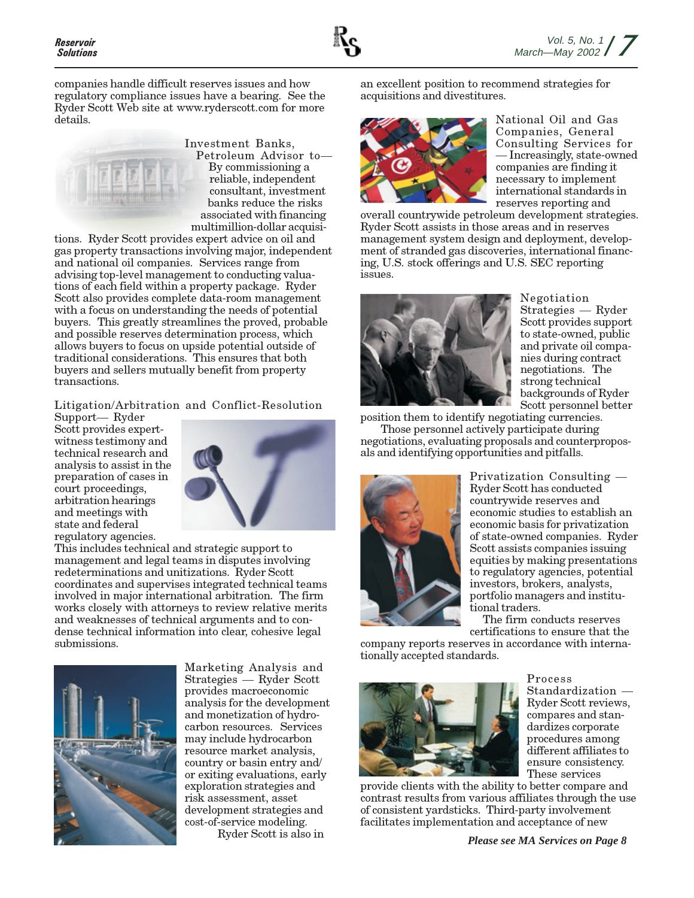companies handle difficult reserves issues and how regulatory compliance issues have a bearing. See the Ryder Scott Web site at www.ryderscott.com for more details.



Investment Banks, Petroleum Advisor to— By commissioning a reliable, independent consultant, investment banks reduce the risks associated with financing multimillion-dollar acquisi-

tions. Ryder Scott provides expert advice on oil and gas property transactions involving major, independent and national oil companies. Services range from advising top-level management to conducting valuations of each field within a property package. Ryder Scott also provides complete data-room management with a focus on understanding the needs of potential buyers. This greatly streamlines the proved, probable and possible reserves determination process, which allows buyers to focus on upside potential outside of traditional considerations. This ensures that both buyers and sellers mutually benefit from property transactions.

Litigation/Arbitration and Conflict-Resolution

Support— Ryder Scott provides expertwitness testimony and technical research and analysis to assist in the preparation of cases in court proceedings, arbitration hearings and meetings with state and federal regulatory agencies.



This includes technical and strategic support to management and legal teams in disputes involving redeterminations and unitizations. Ryder Scott coordinates and supervises integrated technical teams involved in major international arbitration. The firm works closely with attorneys to review relative merits and weaknesses of technical arguments and to condense technical information into clear, cohesive legal submissions.



Marketing Analysis and Strategies — Ryder Scott provides macroeconomic analysis for the development and monetization of hydrocarbon resources. Services may include hydrocarbon resource market analysis, country or basin entry and/ or exiting evaluations, early exploration strategies and risk assessment, asset development strategies and cost-of-service modeling.

Ryder Scott is also in

an excellent position to recommend strategies for acquisitions and divestitures.



National Oil and Gas Companies, General Consulting Services for — Increasingly, state-owned companies are finding it necessary to implement international standards in reserves reporting and

overall countrywide petroleum development strategies. Ryder Scott assists in those areas and in reserves management system design and deployment, development of stranded gas discoveries, international financing, U.S. stock offerings and U.S. SEC reporting issues.



Negotiation Strategies — Ryder Scott provides support to state-owned, public and private oil companies during contract negotiations. The strong technical backgrounds of Ryder Scott personnel better

position them to identify negotiating currencies. Those personnel actively participate during negotiations, evaluating proposals and counterproposals and identifying opportunities and pitfalls.



Privatization Consulting — Ryder Scott has conducted countrywide reserves and economic studies to establish an economic basis for privatization of state-owned companies. Ryder Scott assists companies issuing equities by making presentations to regulatory agencies, potential investors, brokers, analysts, portfolio managers and institutional traders.

The firm conducts reserves certifications to ensure that the

Process

Standardization — Ryder Scott reviews, compares and standardizes corporate procedures among different affiliates to ensure consistency.

company reports reserves in accordance with internationally accepted standards.



These services provide clients with the ability to better compare and contrast results from various affiliates through the use of consistent yardsticks. Third-party involvement facilitates implementation and acceptance of new

*Please see MA Services on Page 8*